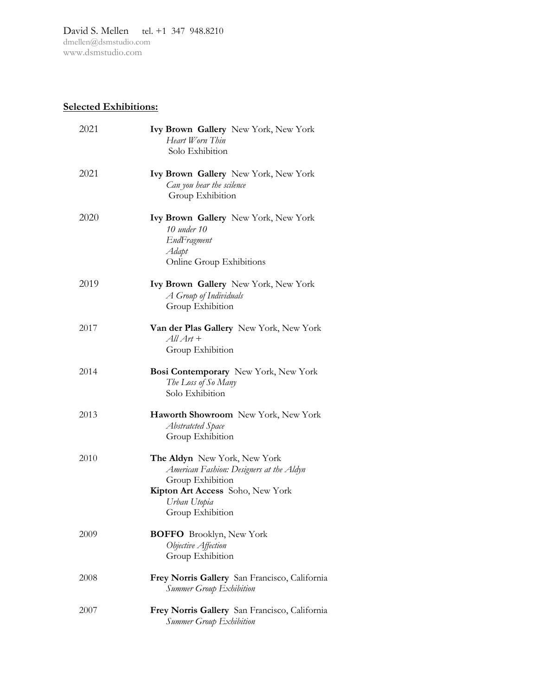David S. Mellen tel. +1 347 948.8210 [dmellen@dsmstudio.com](mailto:dmellen@dsmstudio.com) www.dsmstudio.com

## **Selected Exhibitions:**

| 2021 | Ivy Brown Gallery New York, New York<br>Heart Worn Thin<br>Solo Exhibition                                                                                           |
|------|----------------------------------------------------------------------------------------------------------------------------------------------------------------------|
| 2021 | Ivy Brown Gallery New York, New York<br>Can you hear the scilence<br>Group Exhibition                                                                                |
| 2020 | <b>Ivy Brown Gallery</b> New York, New York<br>10 under 10<br>EndFragment<br>Adapt<br>Online Group Exhibitions                                                       |
| 2019 | Ivy Brown Gallery New York, New York<br>A Group of Individuals<br>Group Exhibition                                                                                   |
| 2017 | Van der Plas Gallery New York, New York<br>$AllArt +$<br>Group Exhibition                                                                                            |
| 2014 | Bosi Contemporary New York, New York<br>The Loss of So Many<br>Solo Exhibition                                                                                       |
| 2013 | Haworth Showroom New York, New York<br>Abstratcted Space<br>Group Exhibition                                                                                         |
| 2010 | The Aldyn New York, New York<br>American Fashion: Designers at the Aldyn<br>Group Exhibition<br>Kipton Art Access Soho, New York<br>Urban Utopia<br>Group Exhibition |
| 2009 | <b>BOFFO</b> Brooklyn, New York<br>Objective Affection<br>Group Exhibition                                                                                           |
| 2008 | Frey Norris Gallery San Francisco, California<br><b>Summer Group Exhibition</b>                                                                                      |
| 2007 | Frey Norris Gallery San Francisco, California<br>Summer Group Exhibition                                                                                             |